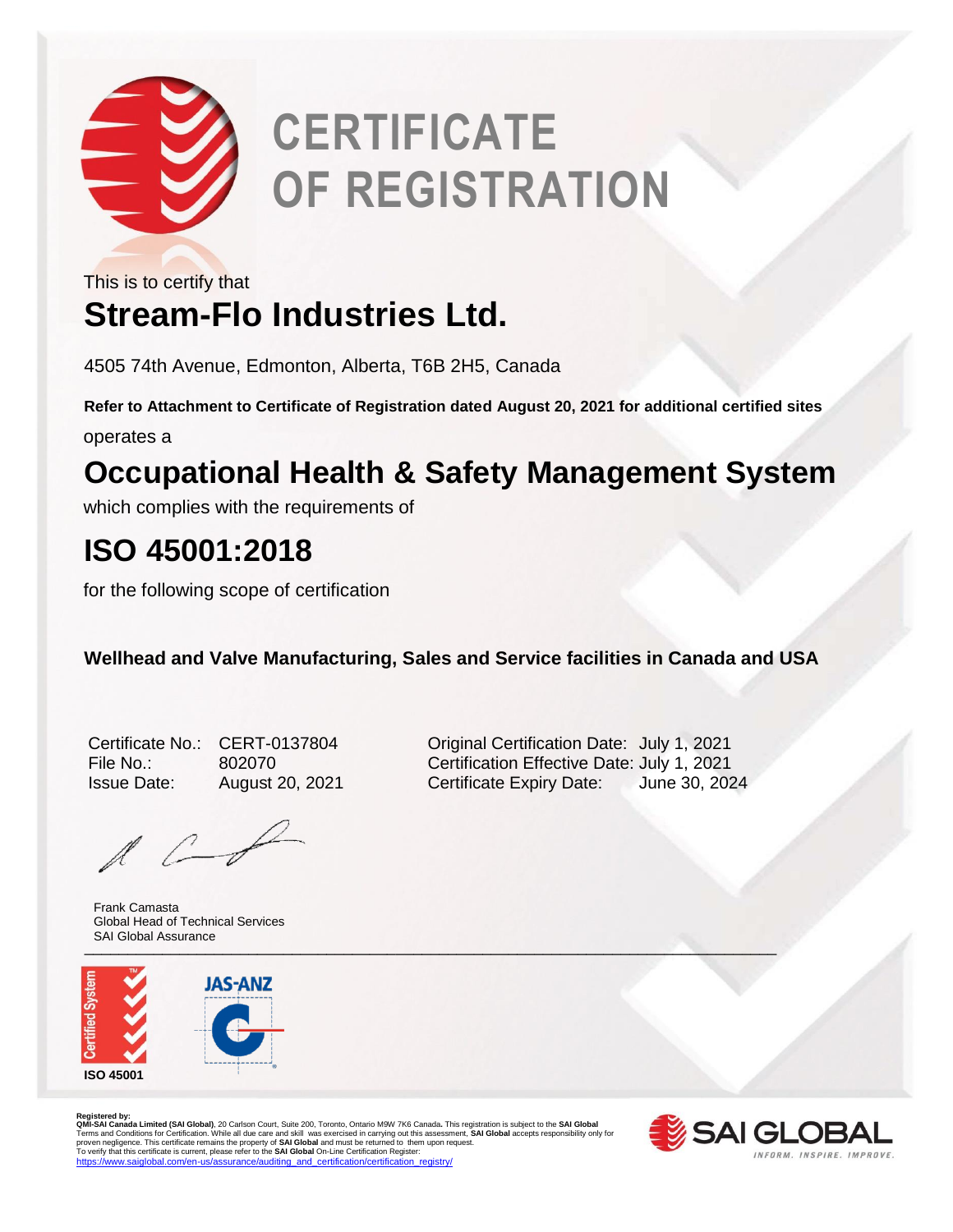

# **CERTIFICATE OF REGISTRATION**

This is to certify that

### **Stream-Flo Industries Ltd.**

4505 74th Avenue, Edmonton, Alberta, T6B 2H5, Canada

**Refer to Attachment to Certificate of Registration dated August 20, 2021 for additional certified sites**

operates a

### **Occupational Health & Safety Management System**

which complies with the requirements of

### **ISO 45001:2018**

for the following scope of certification

**Wellhead and Valve Manufacturing, Sales and Service facilities in Canada and USA** 

| Certificate No.    |
|--------------------|
| File No.:          |
| <b>Issue Date:</b> |

 $\mathbb{A}$   $\mathbb{C}$ 

 $\blacksquare$ Frank Camasta Global Head of Technical Services SAI Global Assurance



CERT-0137804 Original Certification Date: July 1, 2021 File No.: 802070 Certification Effective Date: July 1, 2021 August 20, 2021 Certificate Expiry Date: June 30, 2024

Registered by:<br>**QMI-SA Landa Limited (SAI Global)**, 20 Carlson Court, Suite 200, Toronto, Ontario M9W 7K6 Canada. This registration is subject to the **SAI Global**<br>Terms and Conditions for Certification. While all due care

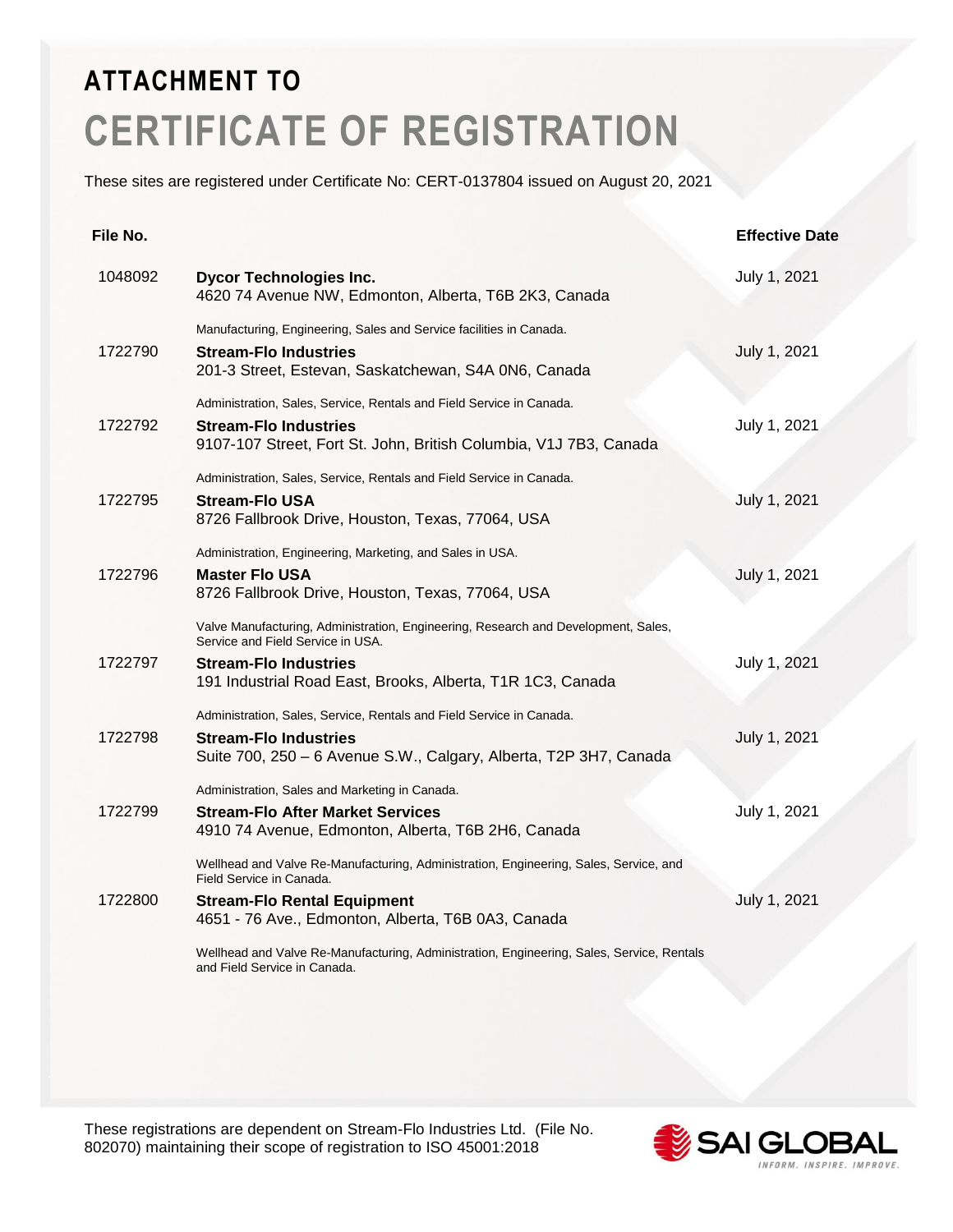## **ATTACHMENT TO CERTIFICATE OF REGISTRATION**

These sites are registered under Certificate No: CERT-0137804 issued on August 20, 2021

| File No. |                                                                                                                                                                                                                       | <b>Effective Date</b> |
|----------|-----------------------------------------------------------------------------------------------------------------------------------------------------------------------------------------------------------------------|-----------------------|
| 1048092  | <b>Dycor Technologies Inc.</b><br>4620 74 Avenue NW, Edmonton, Alberta, T6B 2K3, Canada                                                                                                                               | July 1, 2021          |
| 1722790  | Manufacturing, Engineering, Sales and Service facilities in Canada.<br><b>Stream-Flo Industries</b><br>201-3 Street, Estevan, Saskatchewan, S4A 0N6, Canada                                                           | July 1, 2021          |
| 1722792  | Administration, Sales, Service, Rentals and Field Service in Canada.<br>Stream-Flo Industries<br>9107-107 Street, Fort St. John, British Columbia, V1J 7B3, Canada                                                    | July 1, 2021          |
| 1722795  | Administration, Sales, Service, Rentals and Field Service in Canada.<br>Stream-Flo USA<br>8726 Fallbrook Drive, Houston, Texas, 77064, USA                                                                            | July 1, 2021          |
| 1722796  | Administration, Engineering, Marketing, and Sales in USA.<br><b>Master Flo USA</b><br>8726 Fallbrook Drive, Houston, Texas, 77064, USA                                                                                | July 1, 2021          |
| 1722797  | Valve Manufacturing, Administration, Engineering, Research and Development, Sales,<br>Service and Field Service in USA.<br><b>Stream-Flo Industries</b><br>191 Industrial Road East, Brooks, Alberta, T1R 1C3, Canada | July 1, 2021          |
| 1722798  | Administration, Sales, Service, Rentals and Field Service in Canada.<br><b>Stream-Flo Industries</b><br>Suite 700, 250 - 6 Avenue S.W., Calgary, Alberta, T2P 3H7, Canada                                             | July 1, 2021          |
| 1722799  | Administration, Sales and Marketing in Canada.<br><b>Stream-Flo After Market Services</b><br>4910 74 Avenue, Edmonton, Alberta, T6B 2H6, Canada                                                                       | July 1, 2021          |
| 1722800  | Wellhead and Valve Re-Manufacturing, Administration, Engineering, Sales, Service, and<br>Field Service in Canada.<br><b>Stream-Flo Rental Equipment</b><br>4651 - 76 Ave., Edmonton, Alberta, T6B 0A3, Canada         | July 1, 2021          |
|          | Wellhead and Valve Re-Manufacturing, Administration, Engineering, Sales, Service, Rentals<br>and Field Service in Canada.                                                                                             |                       |

These registrations are dependent on Stream-Flo Industries Ltd. (File No. 802070) maintaining their scope of registration to ISO 45001:2018

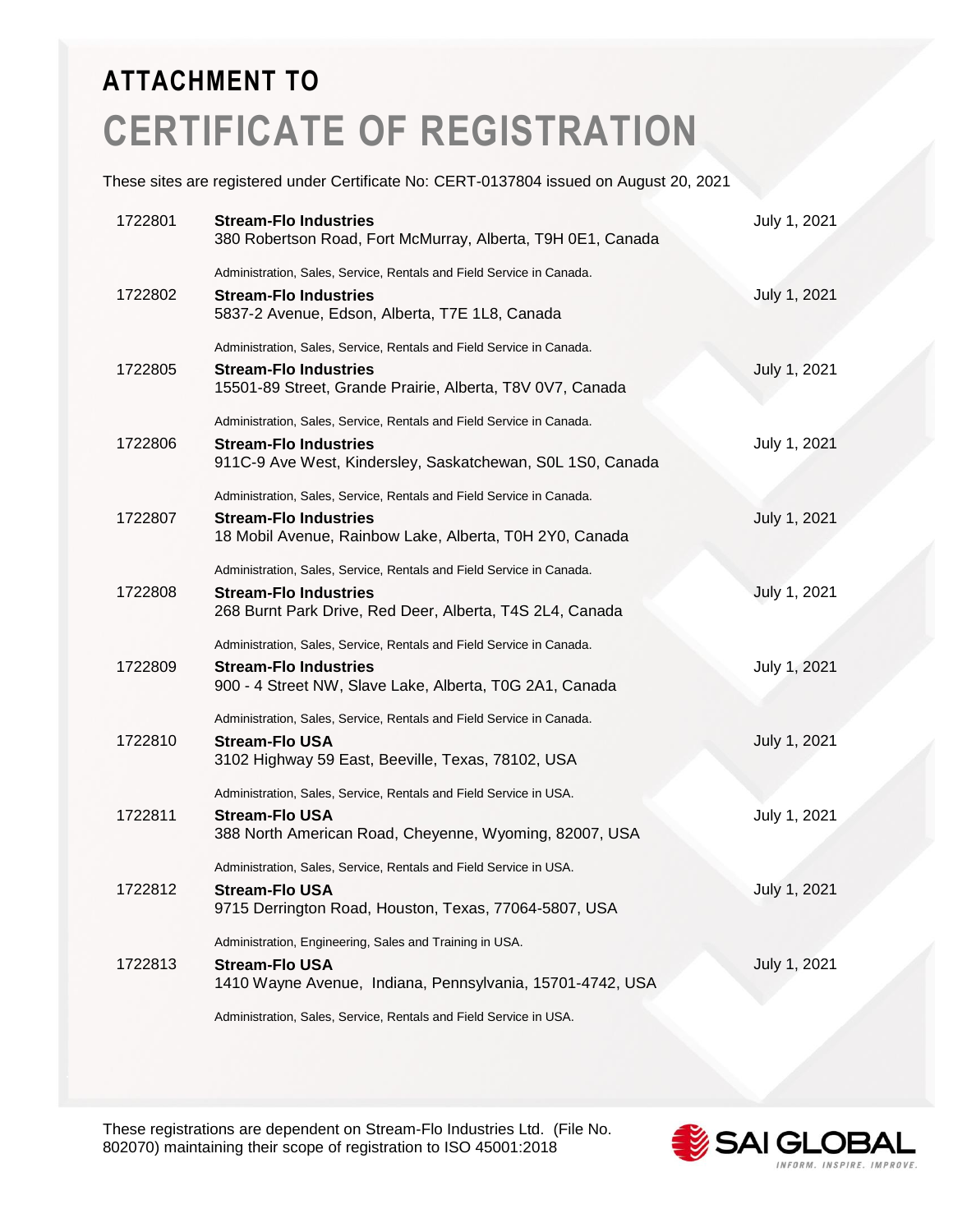## **ATTACHMENT TO CERTIFICATE OF REGISTRATION**

These sites are registered under Certificate No: CERT-0137804 issued on August 20, 2021

| 1722801 | <b>Stream-Flo Industries</b><br>380 Robertson Road, Fort McMurray, Alberta, T9H 0E1, Canada                                                                        | July 1, 2021 |
|---------|--------------------------------------------------------------------------------------------------------------------------------------------------------------------|--------------|
| 1722802 | Administration, Sales, Service, Rentals and Field Service in Canada.<br><b>Stream-Flo Industries</b><br>5837-2 Avenue, Edson, Alberta, T7E 1L8, Canada             | July 1, 2021 |
| 1722805 | Administration, Sales, Service, Rentals and Field Service in Canada.<br><b>Stream-Flo Industries</b><br>15501-89 Street, Grande Prairie, Alberta, T8V 0V7, Canada  | July 1, 2021 |
| 1722806 | Administration, Sales, Service, Rentals and Field Service in Canada.<br><b>Stream-Flo Industries</b><br>911C-9 Ave West, Kindersley, Saskatchewan, S0L 1S0, Canada | July 1, 2021 |
| 1722807 | Administration, Sales, Service, Rentals and Field Service in Canada.<br><b>Stream-Flo Industries</b><br>18 Mobil Avenue, Rainbow Lake, Alberta, T0H 2Y0, Canada    | July 1, 2021 |
| 1722808 | Administration, Sales, Service, Rentals and Field Service in Canada.<br><b>Stream-Flo Industries</b><br>268 Burnt Park Drive, Red Deer, Alberta, T4S 2L4, Canada   | July 1, 2021 |
| 1722809 | Administration, Sales, Service, Rentals and Field Service in Canada.<br>Stream-Flo Industries<br>900 - 4 Street NW, Slave Lake, Alberta, T0G 2A1, Canada           | July 1, 2021 |
| 1722810 | Administration, Sales, Service, Rentals and Field Service in Canada.<br><b>Stream-Flo USA</b><br>3102 Highway 59 East, Beeville, Texas, 78102, USA                 | July 1, 2021 |
| 1722811 | Administration, Sales, Service, Rentals and Field Service in USA.<br><b>Stream-Flo USA</b><br>388 North American Road, Cheyenne, Wyoming, 82007, USA               | July 1, 2021 |
| 1722812 | Administration, Sales, Service, Rentals and Field Service in USA.<br><b>Stream-Flo USA</b><br>9715 Derrington Road, Houston, Texas, 77064-5807, USA                | July 1, 2021 |
| 1722813 | Administration, Engineering, Sales and Training in USA.<br><b>Stream-Flo USA</b><br>1410 Wayne Avenue, Indiana, Pennsylvania, 15701-4742, USA                      | July 1, 2021 |

Administration, Sales, Service, Rentals and Field Service in USA.

These registrations are dependent on Stream-Flo Industries Ltd. (File No. 802070) maintaining their scope of registration to ISO 45001:2018